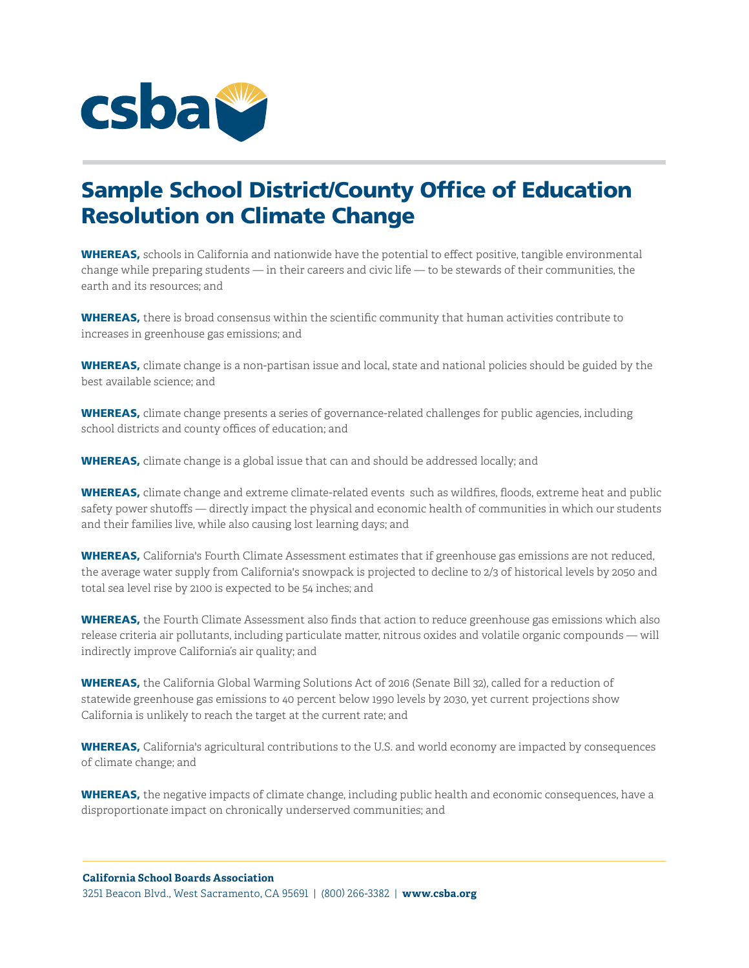

## Sample School District/County Office of Education Resolution on Climate Change

WHEREAS, schools in California and nationwide have the potential to effect positive, tangible environmental change while preparing students — in their careers and civic life — to be stewards of their communities, the earth and its resources; and

WHEREAS, there is broad consensus within the scientific community that human activities contribute to increases in greenhouse gas emissions; and

WHEREAS, climate change is a non-partisan issue and local, state and national policies should be guided by the best available science; and

WHEREAS, climate change presents a series of governance-related challenges for public agencies, including school districts and county offices of education; and

**WHEREAS,** climate change is a global issue that can and should be addressed locally; and

WHEREAS, climate change and extreme climate-related events such as wildfires, floods, extreme heat and public safety power shutoffs — directly impact the physical and economic health of communities in which our students and their families live, while also causing lost learning days; and

WHEREAS, California's Fourth Climate Assessment estimates that if greenhouse gas emissions are not reduced, the average water supply from California's snowpack is projected to decline to 2/3 of historical levels by 2050 and total sea level rise by 2100 is expected to be 54 inches; and

WHEREAS, the Fourth Climate Assessment also finds that action to reduce greenhouse gas emissions which also release criteria air pollutants, including particulate matter, nitrous oxides and volatile organic compounds — will indirectly improve California's air quality; and

WHEREAS, the California Global Warming Solutions Act of 2016 (Senate Bill 32), called for a reduction of statewide greenhouse gas emissions to 40 percent below 1990 levels by 2030, yet current projections show California is unlikely to reach the target at the current rate; and

WHEREAS, California's agricultural contributions to the U.S. and world economy are impacted by consequences of climate change; and

WHEREAS, the negative impacts of climate change, including public health and economic consequences, have a disproportionate impact on chronically underserved communities; and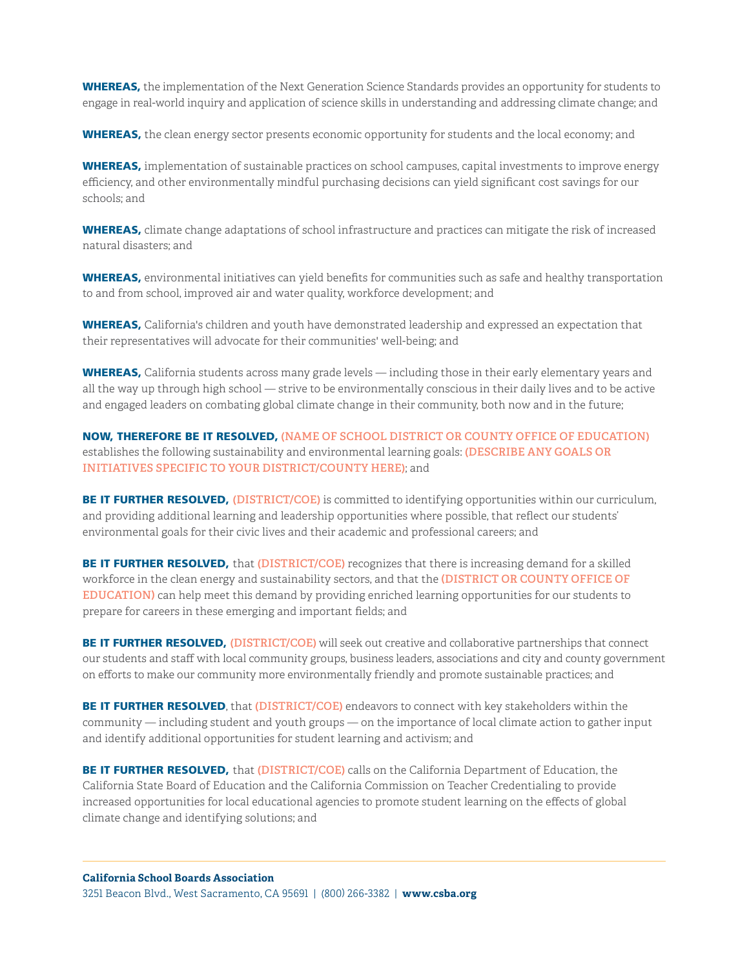WHEREAS, the implementation of the Next Generation Science Standards provides an opportunity for students to engage in real-world inquiry and application of science skills in understanding and addressing climate change; and

WHEREAS, the clean energy sector presents economic opportunity for students and the local economy; and

WHEREAS, implementation of sustainable practices on school campuses, capital investments to improve energy efficiency, and other environmentally mindful purchasing decisions can yield significant cost savings for our schools; and

WHEREAS, climate change adaptations of school infrastructure and practices can mitigate the risk of increased natural disasters; and

WHEREAS, environmental initiatives can yield benefits for communities such as safe and healthy transportation to and from school, improved air and water quality, workforce development; and

WHEREAS, California's children and youth have demonstrated leadership and expressed an expectation that their representatives will advocate for their communities' well-being; and

WHEREAS, California students across many grade levels — including those in their early elementary years and all the way up through high school — strive to be environmentally conscious in their daily lives and to be active and engaged leaders on combating global climate change in their community, both now and in the future;

NOW, THEREFORE BE IT RESOLVED, **(NAME OF SCHOOL DISTRICT OR COUNTY OFFICE OF EDUCATION)**  establishes the following sustainability and environmental learning goals: **(DESCRIBE ANY GOALS OR INITIATIVES SPECIFIC TO YOUR DISTRICT/COUNTY HERE)**; and

BE IT FURTHER RESOLVED, **(DISTRICT/COE)** is committed to identifying opportunities within our curriculum, and providing additional learning and leadership opportunities where possible, that reflect our students' environmental goals for their civic lives and their academic and professional careers; and

BE IT FURTHER RESOLVED, that (DISTRICT/COE) recognizes that there is increasing demand for a skilled workforce in the clean energy and sustainability sectors, and that the **(DISTRICT OR COUNTY OFFICE OF EDUCATION)** can help meet this demand by providing enriched learning opportunities for our students to prepare for careers in these emerging and important fields; and

BE IT FURTHER RESOLVED, **(DISTRICT/COE)** will seek out creative and collaborative partnerships that connect our students and staff with local community groups, business leaders, associations and city and county government on efforts to make our community more environmentally friendly and promote sustainable practices; and

BE IT FURTHER RESOLVED, that **(DISTRICT/COE)** endeavors to connect with key stakeholders within the community — including student and youth groups — on the importance of local climate action to gather input and identify additional opportunities for student learning and activism; and

BE IT FURTHER RESOLVED, that **(DISTRICT/COE)** calls on the California Department of Education, the California State Board of Education and the California Commission on Teacher Credentialing to provide increased opportunities for local educational agencies to promote student learning on the effects of global climate change and identifying solutions; and